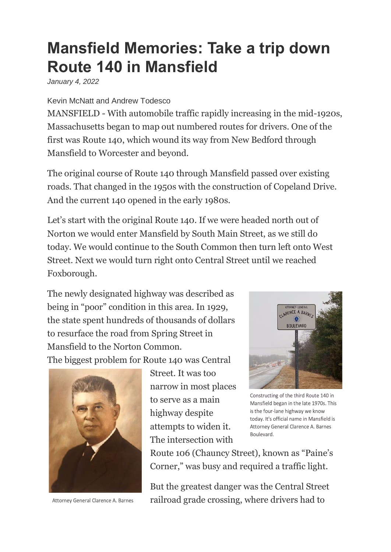## **Mansfield Memories: Take a trip down Route 140 in Mansfield**

*January 4, 2022*

Kevin McNatt and Andrew Todesco

MANSFIELD - With automobile traffic rapidly increasing in the mid-1920s, Massachusetts began to map out numbered routes for drivers. One of the first was Route 140, which wound its way from New Bedford through Mansfield to Worcester and beyond.

The original course of Route 140 through Mansfield passed over existing roads. That changed in the 1950s with the construction of Copeland Drive. And the current 140 opened in the early 1980s.

Let's start with the original Route 140. If we were headed north out of Norton we would enter Mansfield by South Main Street, as we still do today. We would continue to the South Common then turn left onto West Street. Next we would turn right onto Central Street until we reached Foxborough.

The newly designated highway was described as being in "poor" condition in this area. In 1929, the state spent hundreds of thousands of dollars to resurface the road from Spring Street in Mansfield to the Norton Common. The biggest problem for Route 140 was Central



Attorney General Clarence A. Barnes

Street. It was too narrow in most places to serve as a main highway despite attempts to widen it. The intersection with



Constructing of the third Route 140 in Mansfield began in the late 1970s. This is the four-lane highway we know today. It's official name in Mansfield is Attorney General Clarence A. Barnes Boulevard.

Route 106 (Chauncy Street), known as "Paine's Corner," was busy and required a traffic light.

But the greatest danger was the Central Street railroad grade crossing, where drivers had to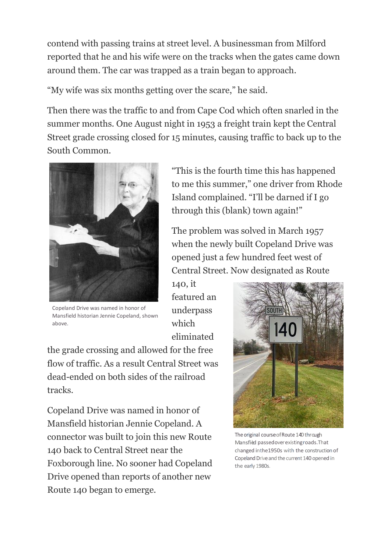contend with passing trains at street level. A businessman from Milford reported that he and his wife were on the tracks when the gates came down around them. The car was trapped as a train began to approach.

"My wife was six months getting over the scare," he said.

Then there was the traffic to and from Cape Cod which often snarled in the summer months. One August night in 1953 a freight train kept the Central Street grade crossing closed for 15 minutes, causing traffic to back up to the South Common.



Copeland Drive was named in honor of Mansfield historian Jennie Copeland, shown above.

"This is the fourth time this has happened to me this summer," one driver from Rhode Island complained. "I'll be darned if I go through this (blank) town again!"

The problem was solved in March 1957 when the newly built Copeland Drive was opened just a few hundred feet west of Central Street. Now designated as Route

140, it featured an underpass which eliminated

the grade crossing and allowed for the free flow of traffic. As a result Central Street was dead-ended on both sides of the railroad tracks.

Copeland Drive was named in honor of Mansfield historian Jennie Copeland. A connector was built to join this new Route 140 back to Central Street near the Foxborough line. No sooner had Copeland Drive opened than reports of another new Route 140 began to emerge.



The original course of Route 140 through Mansfiled passedoverexistingroads.That changed inthe1950s with the construction of Copeland Drive and the current 140 opened in the early 1980s.